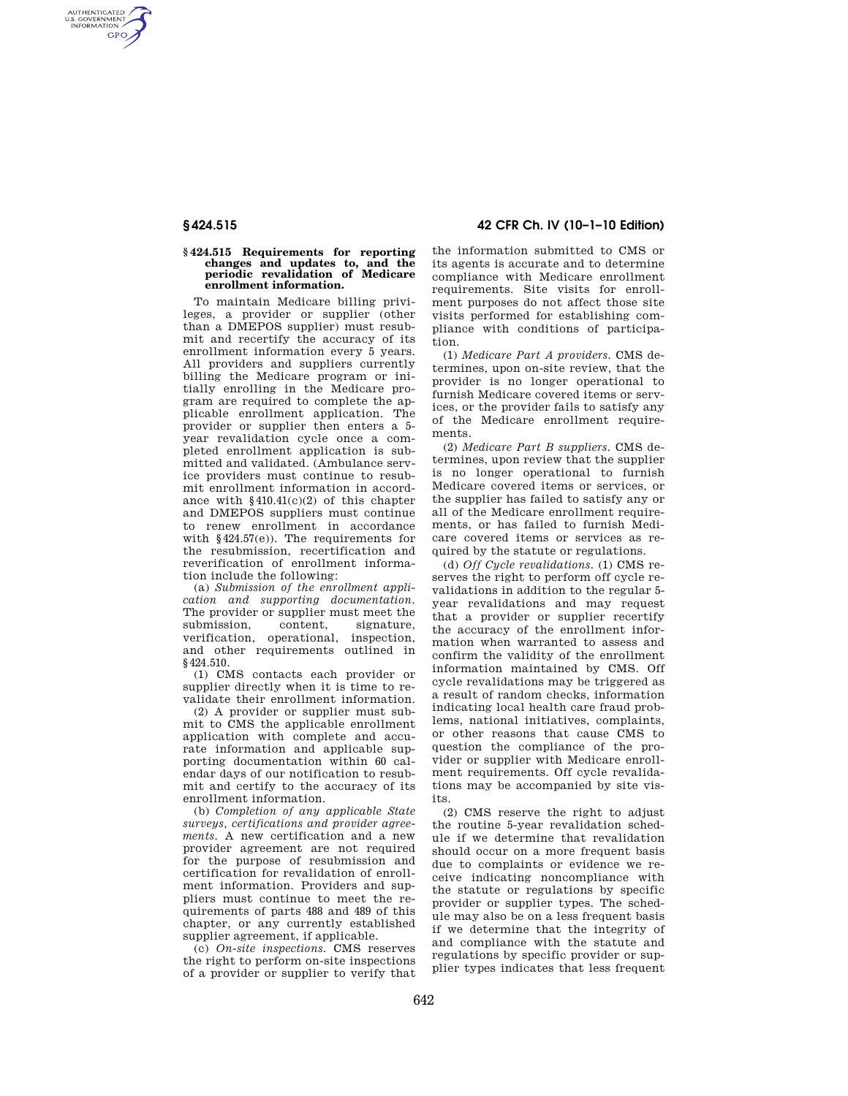AUTHENTICATED<br>U.S. GOVERNMENT<br>INFORMATION **GPO** 

## **§ 424.515 Requirements for reporting changes and updates to, and the periodic revalidation of Medicare enrollment information.**

To maintain Medicare billing privileges, a provider or supplier (other than a DMEPOS supplier) must resubmit and recertify the accuracy of its enrollment information every 5 years. All providers and suppliers currently billing the Medicare program or initially enrolling in the Medicare program are required to complete the applicable enrollment application. The provider or supplier then enters a 5 year revalidation cycle once a completed enrollment application is submitted and validated. (Ambulance service providers must continue to resubmit enrollment information in accordance with §410.41(c)(2) of this chapter and DMEPOS suppliers must continue to renew enrollment in accordance with §424.57(e)). The requirements for the resubmission, recertification and reverification of enrollment information include the following:

(a) *Submission of the enrollment application and supporting documentation.*  The provider or supplier must meet the<br>submission, content, signature, submission, verification, operational, inspection, and other requirements outlined in §424.510.

(1) CMS contacts each provider or supplier directly when it is time to revalidate their enrollment information.

(2) A provider or supplier must submit to CMS the applicable enrollment application with complete and accurate information and applicable supporting documentation within 60 calendar days of our notification to resubmit and certify to the accuracy of its enrollment information.

(b) *Completion of any applicable State surveys, certifications and provider agreements.* A new certification and a new provider agreement are not required for the purpose of resubmission and certification for revalidation of enrollment information. Providers and suppliers must continue to meet the requirements of parts 488 and 489 of this chapter, or any currently established supplier agreement, if applicable.

(c) *On-site inspections.* CMS reserves the right to perform on-site inspections of a provider or supplier to verify that

**§ 424.515 42 CFR Ch. IV (10–1–10 Edition)** 

the information submitted to CMS or its agents is accurate and to determine compliance with Medicare enrollment requirements. Site visits for enrollment purposes do not affect those site visits performed for establishing compliance with conditions of participation.

(1) *Medicare Part A providers.* CMS determines, upon on-site review, that the provider is no longer operational to furnish Medicare covered items or services, or the provider fails to satisfy any of the Medicare enrollment requirements.

(2) *Medicare Part B suppliers.* CMS determines, upon review that the supplier is no longer operational to furnish Medicare covered items or services, or the supplier has failed to satisfy any or all of the Medicare enrollment requirements, or has failed to furnish Medicare covered items or services as required by the statute or regulations.

(d) *Off Cycle revalidations.* (1) CMS reserves the right to perform off cycle revalidations in addition to the regular 5 year revalidations and may request that a provider or supplier recertify the accuracy of the enrollment information when warranted to assess and confirm the validity of the enrollment information maintained by CMS. Off cycle revalidations may be triggered as a result of random checks, information indicating local health care fraud problems, national initiatives, complaints, or other reasons that cause CMS to question the compliance of the provider or supplier with Medicare enrollment requirements. Off cycle revalidations may be accompanied by site visits.

(2) CMS reserve the right to adjust the routine 5-year revalidation schedule if we determine that revalidation should occur on a more frequent basis due to complaints or evidence we receive indicating noncompliance with the statute or regulations by specific provider or supplier types. The schedule may also be on a less frequent basis if we determine that the integrity of and compliance with the statute and regulations by specific provider or supplier types indicates that less frequent